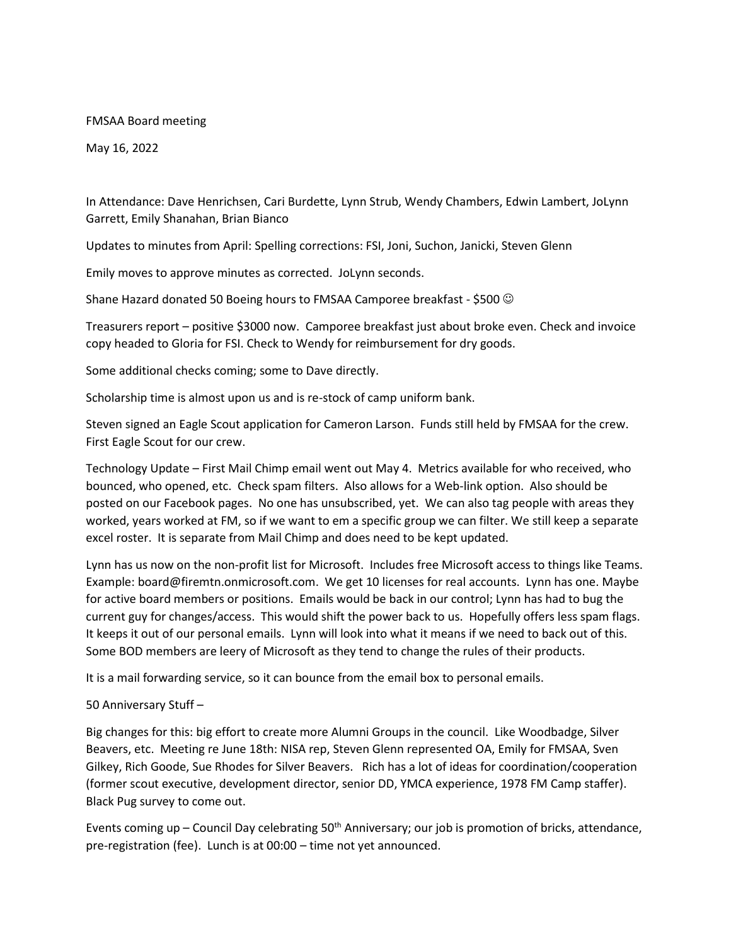## FMSAA Board meeting

May 16, 2022

In Attendance: Dave Henrichsen, Cari Burdette, Lynn Strub, Wendy Chambers, Edwin Lambert, JoLynn Garrett, Emily Shanahan, Brian Bianco

Updates to minutes from April: Spelling corrections: FSI, Joni, Suchon, Janicki, Steven Glenn

Emily moves to approve minutes as corrected. JoLynn seconds.

Shane Hazard donated 50 Boeing hours to FMSAA Camporee breakfast - \$500  $\odot$ 

Treasurers report – positive \$3000 now. Camporee breakfast just about broke even. Check and invoice copy headed to Gloria for FSI. Check to Wendy for reimbursement for dry goods.

Some additional checks coming; some to Dave directly.

Scholarship time is almost upon us and is re-stock of camp uniform bank.

Steven signed an Eagle Scout application for Cameron Larson. Funds still held by FMSAA for the crew. First Eagle Scout for our crew.

Technology Update – First Mail Chimp email went out May 4. Metrics available for who received, who bounced, who opened, etc. Check spam filters. Also allows for a Web-link option. Also should be posted on our Facebook pages. No one has unsubscribed, yet. We can also tag people with areas they worked, years worked at FM, so if we want to em a specific group we can filter. We still keep a separate excel roster. It is separate from Mail Chimp and does need to be kept updated.

Lynn has us now on the non-profit list for Microsoft. Includes free Microsoft access to things like Teams. Example: board@firemtn.onmicrosoft.com. We get 10 licenses for real accounts. Lynn has one. Maybe for active board members or positions. Emails would be back in our control; Lynn has had to bug the current guy for changes/access. This would shift the power back to us. Hopefully offers less spam flags. It keeps it out of our personal emails. Lynn will look into what it means if we need to back out of this. Some BOD members are leery of Microsoft as they tend to change the rules of their products.

It is a mail forwarding service, so it can bounce from the email box to personal emails.

## 50 Anniversary Stuff –

Big changes for this: big effort to create more Alumni Groups in the council. Like Woodbadge, Silver Beavers, etc. Meeting re June 18th: NISA rep, Steven Glenn represented OA, Emily for FMSAA, Sven Gilkey, Rich Goode, Sue Rhodes for Silver Beavers. Rich has a lot of ideas for coordination/cooperation (former scout executive, development director, senior DD, YMCA experience, 1978 FM Camp staffer). Black Pug survey to come out.

Events coming up – Council Day celebrating 50<sup>th</sup> Anniversary; our job is promotion of bricks, attendance, pre-registration (fee). Lunch is at 00:00 – time not yet announced.